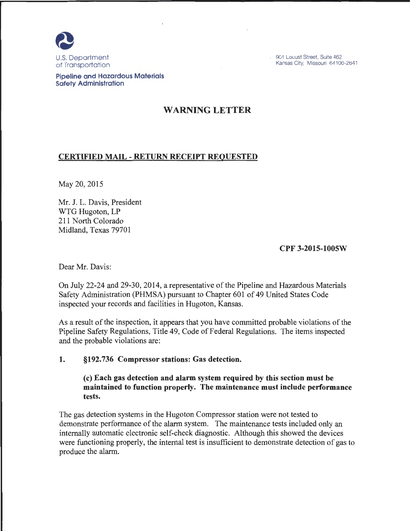

901 Locust Street, Suite 462 Kansas City, Missouri 64106-2641

Pipeline and Hazardous Materials Safety Administration

# WARNING LETTER

## CERTIFIED MAIL -RETURN RECEIPT REQUESTED

May 20,2015

Mr. J. L. Davis, President WTG Hugoton, LP 211 North Colorado Midland, Texas 79701

## CPF 3-2015-1005W

Dear Mr. Davis:

On July 22-24 and 29-30, 2014, a representative of the Pipeline and Hazardous Materials Safety Administration (PHMSA) pursuant to Chapter 601 of 49 United States Code inspected your records and facilities in Hugoton, Kansas.

As a result of the inspection, it appears that you have committed probable violations of the Pipeline Safety Regulations, Title 49, Code of Federal Regulations. The items inspected and the probable violations are:

## 1. §192.736 Compressor stations: Gas detection.

(c) Each gas detection and alarm system required by this section must be maintained to function properly. The maintenance must include performance tests.

The gas detection systems in the Hugoton Compressor station were not tested to demonstrate performance of the alarm system. The maintenance tests included only an internally automatic electronic self-check diagnostic. Although this showed the devices were functioning properly, the internal test is insufficient to demonstrate detection of gas to produce the alarm.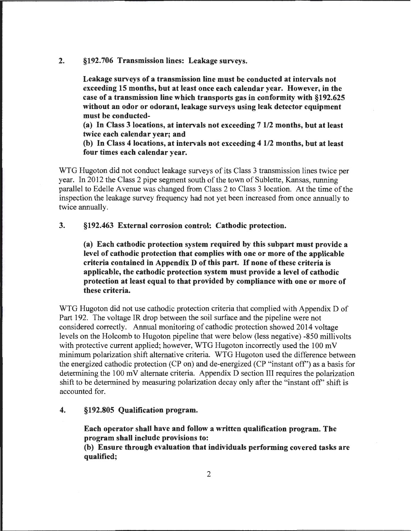#### 2. §192.706 Transmission lines: Leakage surveys.

Leakage surveys of a transmission line must be conducted at intervals not exceeding 15 months, but at least once each calendar year. However, in the case of a transmission line which transports gas in conformity with §192.625 without an odor or odorant, leakage surveys using leak detector equipment must be conducted-

(a) In Class 3 locations, at intervals not exceeding 7 1/2 months, but at least twice each calendar year; and

(b) In Class 4 locations, at intervals not exceeding 4 112 months, but at least four times each calendar year.

WTG Hugoton did not conduct leakage surveys of its Class 3 transmission lines twice per year. In 2012 the Class 2 pipe segment south of the town of Sublette, Kansas, running parallel to Edelle Avenue was changed from Class 2 to Class 3 location. At the time of the inspection the leakage survey frequency had not yet been increased from once annually to twice annually.

#### 3. §192.463 External corrosion control: Cathodic protection.

(a) Each cathodic protection system required by this subpart must provide a level of cathodic protection that complies with one or more of the applicable criteria contained in Appendix D of this part. If none of these criteria is applicable, the cathodic protection system must provide a level of cathodic protection at least equal to that provided by compliance with one or more of these criteria.

WTG Hugoton did not use cathodic protection criteria that complied with Appendix D of Part 192. The voltage IR drop between the soil surface and the pipeline were not considered correctly. Annual monitoring of cathodic protection showed 2014 voltage levels on the Holcomb to Hugoton pipeline that were below (less negative) -850 millivolts with protective current applied; however, WTG Hugoton incorrectly used the 100 mV minimum polarization shift alternative criteria. WTG Hugoton used the difference between the energized cathodic protection (CP on) and de-energized (CP "instant off') as a basis for determining the 100 mV alternate criteria. Appendix D section III requires the polarization shift to be determined by measuring polarization decay only after the "instant off' shift is accounted for.

#### 4. §192.805 Qualification program.

Each operator shall have and follow a written qualification program. The program shall include provisions to:

(b) Ensure through evaluation that individuals performing covered tasks are qualified;